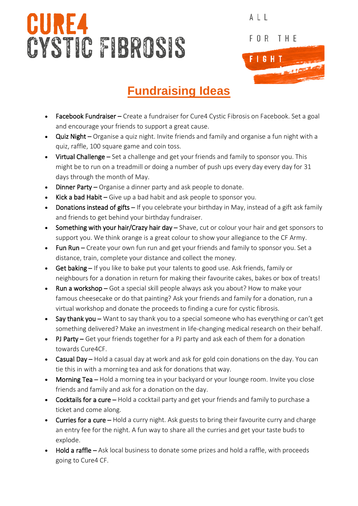## **CURE4** CYSTIC FIBROSIS



ALL

## **Fundraising Ideas**

- Facebook Fundraiser Create a fundraiser for Cure4 Cystic Fibrosis on Facebook. Set a goal and encourage your friends to support a great cause.
- Quiz Night Organise a quiz night. Invite friends and family and organise a fun night with a quiz, raffle, 100 square game and coin toss.
- Virtual Challenge Set a challenge and get your friends and family to sponsor you. This might be to run on a treadmill or doing a number of push ups every day every day for 31 days through the month of May.
- Dinner Party Organise a dinner party and ask people to donate.
- Kick a bad Habit Give up a bad habit and ask people to sponsor you.
- Donations instead of gifts If you celebrate your birthday in May, instead of a gift ask family and friends to get behind your birthday fundraiser.
- Something with your hair/Crazy hair day Shave, cut or colour your hair and get sponsors to support you. We think orange is a great colour to show your allegiance to the CF Army.
- Fun Run Create your own fun run and get your friends and family to sponsor you. Set a distance, train, complete your distance and collect the money.
- Get baking If you like to bake put your talents to good use. Ask friends, family or neighbours for a donation in return for making their favourite cakes, bakes or box of treats!
- Run a workshop Got a special skill people always ask you about? How to make your famous cheesecake or do that painting? Ask your friends and family for a donation, run a virtual workshop and donate the proceeds to finding a cure for cystic fibrosis.
- **Say thank you –** Want to say thank you to a special someone who has everything or can't get something delivered? Make an investment in life-changing medical research on their behalf.
- PJ Party Get your friends together for a PJ party and ask each of them for a donation towards Cure4CF.
- Casual Day Hold a casual day at work and ask for gold coin donations on the day. You can tie this in with a morning tea and ask for donations that way.
- Morning Tea Hold a morning tea in your backyard or your lounge room. Invite you close friends and family and ask for a donation on the day.
- Cocktails for a cure Hold a cocktail party and get your friends and family to purchase a ticket and come along.
- Curries for a cure Hold a curry night. Ask guests to bring their favourite curry and charge an entry fee for the night. A fun way to share all the curries and get your taste buds to explode.
- Hold a raffle Ask local business to donate some prizes and hold a raffle, with proceeds going to Cure4 CF.